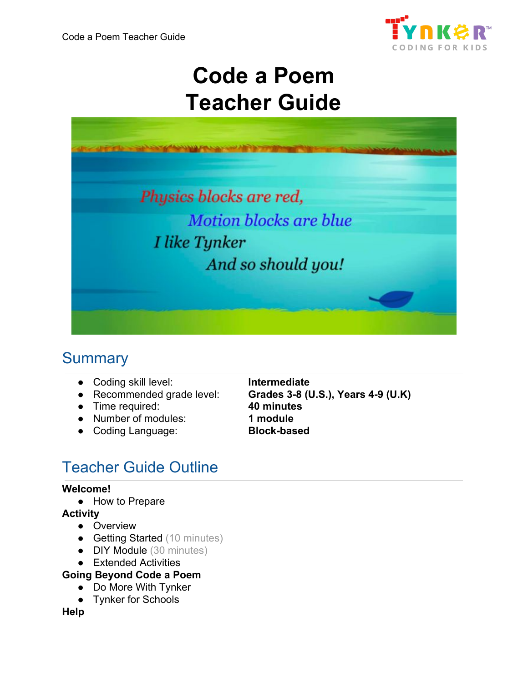

# **Code a Poem Teacher Guide**



# **Summary**

- Coding skill level: **Intermediate**
- 
- Time required: **40 minutes**
- Number of modules: **1 module**
- Coding Language: **Block-based**

● Recommended grade level: **Grades 3-8 (U.S.), Years 4-9 (U.K)**

# Teacher Guide Outline

#### **Welcome!**

● How to Prepare

#### **Activity**

- Overview
- Getting Started (10 minutes)
- DIY Module (30 minutes)
- Extended Activities
- **Going Beyond Code a Poem**
	- Do More With Tynker
	- Tynker for Schools

#### **Help**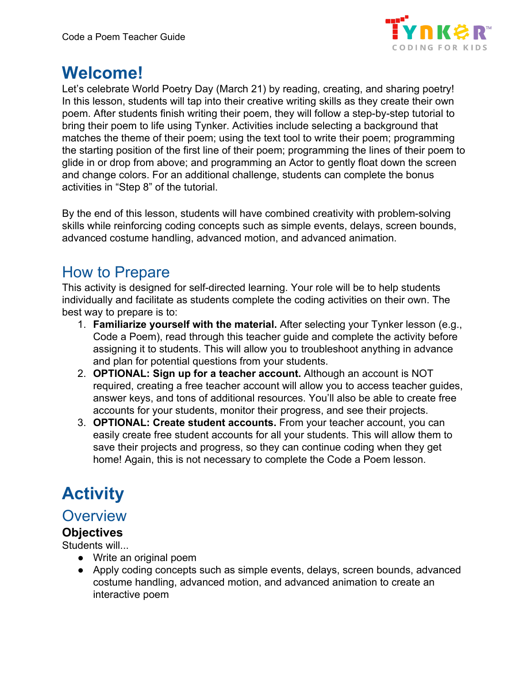

# **Welcome!**

Let's celebrate World Poetry Day (March 21) by reading, creating, and sharing poetry! In this lesson, students will tap into their creative writing skills as they create their own poem. After students finish writing their poem, they will follow a step-by-step tutorial to bring their poem to life using Tynker. Activities include selecting a background that matches the theme of their poem; using the text tool to write their poem; programming the starting position of the first line of their poem; programming the lines of their poem to glide in or drop from above; and programming an Actor to gently float down the screen and change colors. For an additional challenge, students can complete the bonus activities in "Step 8" of the tutorial.

By the end of this lesson, students will have combined creativity with problem-solving skills while reinforcing coding concepts such as simple events, delays, screen bounds, advanced costume handling, advanced motion, and advanced animation.

### How to Prepare

This activity is designed for self-directed learning. Your role will be to help students individually and facilitate as students complete the coding activities on their own. The best way to prepare is to:

- 1. **Familiarize yourself with the material.** After selecting your Tynker lesson (e.g., Code a Poem), read through this teacher guide and complete the activity before assigning it to students. This will allow you to troubleshoot anything in advance and plan for potential questions from your students.
- 2. **OPTIONAL: Sign up for a teacher account.** Although an account is NOT required, creating a free teacher account will allow you to access teacher guides, answer keys, and tons of additional resources. You'll also be able to create free accounts for your students, monitor their progress, and see their projects.
- 3. **OPTIONAL: Create student accounts.** From your teacher account, you can easily create free student accounts for all your students. This will allow them to save their projects and progress, so they can continue coding when they get home! Again, this is not necessary to complete the Code a Poem lesson.

# **Activity**

#### **Overview**

#### **Objectives**

Students will...

- Write an original poem
- Apply coding concepts such as simple events, delays, screen bounds, advanced costume handling, advanced motion, and advanced animation to create an interactive poem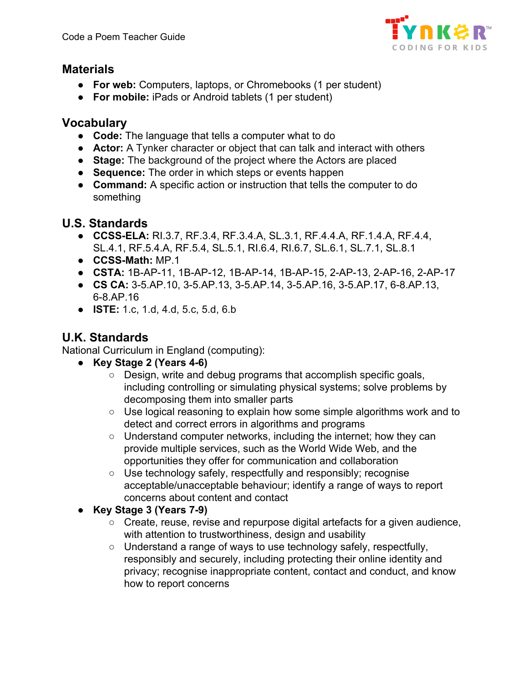

#### **Materials**

- **For web:** Computers, laptops, or Chromebooks (1 per student)
- **For mobile:** iPads or Android tablets (1 per student)

#### **Vocabulary**

- **Code:** The language that tells a computer what to do
- **Actor:** A Tynker character or object that can talk and interact with others
- **Stage:** The background of the project where the Actors are placed
- **Sequence:** The order in which steps or events happen
- **Command:** A specific action or instruction that tells the computer to do something

#### **U.S. Standards**

- **CCSS-ELA:** RI.3.7, RF.3.4, RF.3.4.A, SL.3.1, RF.4.4.A, RF.1.4.A, RF.4.4, SL.4.1, RF.5.4.A, RF.5.4, SL.5.1, RI.6.4, RI.6.7, SL.6.1, SL.7.1, SL.8.1
- **CCSS-Math:** MP.1
- **CSTA:** 1B-AP-11, 1B-AP-12, 1B-AP-14, 1B-AP-15, 2-AP-13, 2-AP-16, 2-AP-17
- **CS CA:** 3-5.AP.10, 3-5.AP.13, 3-5.AP.14, 3-5.AP.16, 3-5.AP.17, 6-8.AP.13, 6-8.AP.16
- **ISTE:** 1.c, 1.d, 4.d, 5.c, 5.d, 6.b

#### **U.K. Standards**

National Curriculum in England (computing):

- **Key Stage 2 (Years 4-6)**
	- Design, write and debug programs that accomplish specific goals, including controlling or simulating physical systems; solve problems by decomposing them into smaller parts
	- Use logical reasoning to explain how some simple algorithms work and to detect and correct errors in algorithms and programs
	- Understand computer networks, including the internet; how they can provide multiple services, such as the World Wide Web, and the opportunities they offer for communication and collaboration
	- Use technology safely, respectfully and responsibly; recognise acceptable/unacceptable behaviour; identify a range of ways to report concerns about content and contact
- **Key Stage 3 (Years 7-9)**
	- Create, reuse, revise and repurpose digital artefacts for a given audience, with attention to trustworthiness, design and usability
	- Understand a range of ways to use technology safely, respectfully, responsibly and securely, including protecting their online identity and privacy; recognise inappropriate content, contact and conduct, and know how to report concerns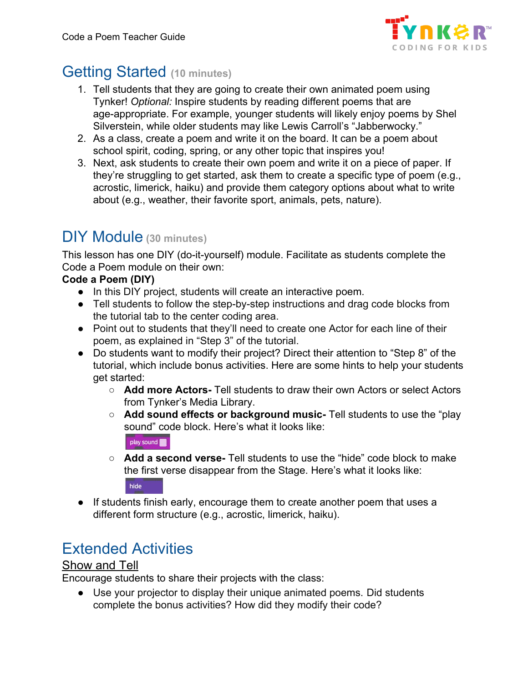

# Getting Started **(10 minutes)**

- 1. Tell students that they are going to create their own animated poem using Tynker! *Optional:* Inspire students by reading different poems that are age-appropriate. For example, younger students will likely enjoy poems by Shel Silverstein, while older students may like Lewis Carroll's "Jabberwocky."
- 2. As a class, create a poem and write it on the board. It can be a poem about school spirit, coding, spring, or any other topic that inspires you!
- 3. Next, ask students to create their own poem and write it on a piece of paper. If they're struggling to get started, ask them to create a specific type of poem (e.g., acrostic, limerick, haiku) and provide them category options about what to write about (e.g., weather, their favorite sport, animals, pets, nature).

# DIY Module **(30 minutes)**

This lesson has one DIY (do-it-yourself) module. Facilitate as students complete the Code a Poem module on their own:

#### **Code a Poem (DIY)**

- In this DIY project, students will create an interactive poem.
- Tell students to follow the step-by-step instructions and drag code blocks from the tutorial tab to the center coding area.
- Point out to students that they'll need to create one Actor for each line of their poem, as explained in "Step 3" of the tutorial.
- Do students want to modify their project? Direct their attention to "Step 8" of the tutorial, which include bonus activities. Here are some hints to help your students get started:
	- **Add more Actors-** Tell students to draw their own Actors or select Actors from Tynker's Media Library.
	- **Add sound effects or background music-** Tell students to use the "play sound" code block. Here's what it looks like:

play sound

- **Add a second verse-** Tell students to use the "hide" code block to make the first verse disappear from the Stage. Here's what it looks like: hide
- If students finish early, encourage them to create another poem that uses a different form structure (e.g., acrostic, limerick, haiku).

# Extended Activities

#### Show and Tell

Encourage students to share their projects with the class:

● Use your projector to display their unique animated poems. Did students complete the bonus activities? How did they modify their code?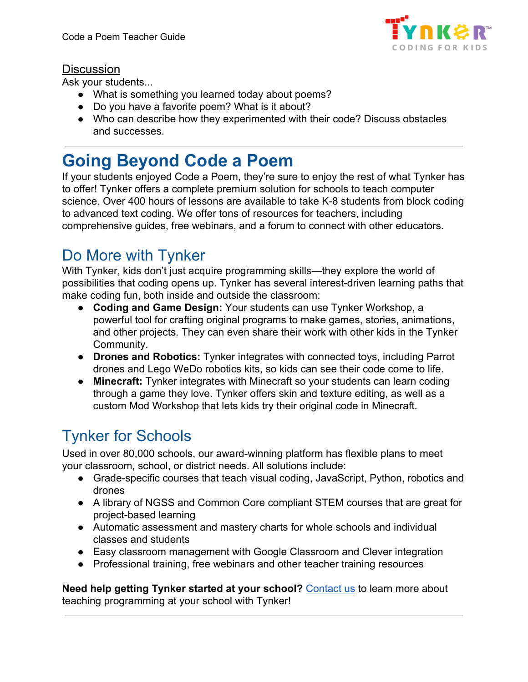

#### **Discussion**

Ask your students...

- What is something you learned today about poems?
- Do you have a favorite poem? What is it about?
- Who can describe how they experimented with their code? Discuss obstacles and successes.

# **Going Beyond Code a Poem**

If your students enjoyed Code a Poem, they're sure to enjoy the rest of what Tynker has to offer! Tynker offers a complete premium solution for schools to teach computer science. Over 400 hours of lessons are available to take K-8 students from block coding to advanced text coding. We offer tons of resources for teachers, including comprehensive guides, free webinars, and a forum to connect with other educators.

# Do More with Tynker

With Tynker, kids don't just acquire programming skills—they explore the world of possibilities that coding opens up. Tynker has several interest-driven learning paths that make coding fun, both inside and outside the classroom:

- **Coding and Game Design:** Your students can use Tynker Workshop, a powerful tool for crafting original programs to make games, stories, animations, and other projects. They can even share their work with other kids in the Tynker Community.
- **Drones and Robotics:** Tynker integrates with connected toys, including Parrot drones and Lego WeDo robotics kits, so kids can see their code come to life.
- **Minecraft:** Tynker integrates with Minecraft so your students can learn coding through a game they love. Tynker offers skin and texture editing, as well as a custom Mod Workshop that lets kids try their original code in Minecraft.

# Tynker for Schools

Used in over 80,000 schools, our award-winning platform has flexible plans to meet your classroom, school, or district needs. All solutions include:

- Grade-specific courses that teach visual coding, JavaScript, Python, robotics and drones
- A library of NGSS and Common Core compliant STEM courses that are great for project-based learning
- Automatic assessment and mastery charts for whole schools and individual classes and students
- Easy classroom management with Google Classroom and Clever integration
- Professional training, free webinars and other teacher training resources

**Need help getting Tynker started at your school?** [Contact us](https://www.tynker.com/school/coding-curriculum/request) to learn more about teaching programming at your school with Tynker!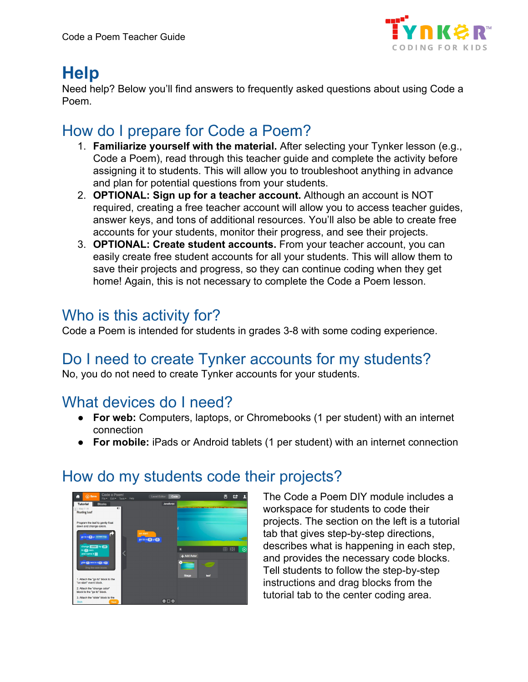

# **Help**

Need help? Below you'll find answers to frequently asked questions about using Code a Poem.

# How do I prepare for Code a Poem?

- 1. **Familiarize yourself with the material.** After selecting your Tynker lesson (e.g., Code a Poem), read through this teacher guide and complete the activity before assigning it to students. This will allow you to troubleshoot anything in advance and plan for potential questions from your students.
- 2. **OPTIONAL: Sign up for a teacher account.** Although an account is NOT required, creating a free teacher account will allow you to access teacher guides, answer keys, and tons of additional resources. You'll also be able to create free accounts for your students, monitor their progress, and see their projects.
- 3. **OPTIONAL: Create student accounts.** From your teacher account, you can easily create free student accounts for all your students. This will allow them to save their projects and progress, so they can continue coding when they get home! Again, this is not necessary to complete the Code a Poem lesson.

## Who is this activity for?

Code a Poem is intended for students in grades 3-8 with some coding experience.

# Do I need to create Tynker accounts for my students?

No, you do not need to create Tynker accounts for your students.

### What devices do I need?

- **For web:** Computers, laptops, or Chromebooks (1 per student) with an internet connection
- **For mobile:** iPads or Android tablets (1 per student) with an internet connection



### How do my students code their projects?

The Code a Poem DIY module includes a workspace for students to code their projects. The section on the left is a tutorial tab that gives step-by-step directions, describes what is happening in each step, and provides the necessary code blocks. Tell students to follow the step-by-step instructions and drag blocks from the tutorial tab to the center coding area.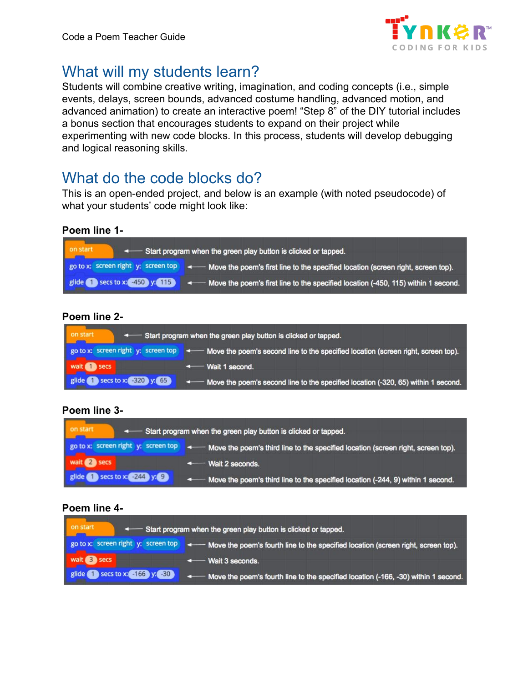

# What will my students learn?

Students will combine creative writing, imagination, and coding concepts (i.e., simple events, delays, screen bounds, advanced costume handling, advanced motion, and advanced animation) to create an interactive poem! "Step 8" of the DIY tutorial includes a bonus section that encourages students to expand on their project while experimenting with new code blocks. In this process, students will develop debugging and logical reasoning skills.

# What do the code blocks do?

This is an open-ended project, and below is an example (with noted pseudocode) of what your students' code might look like:

#### **Poem line 1-**

| on start<br>Start program when the green play button is clicked or tapped. |                                                                                                                                                  |
|----------------------------------------------------------------------------|--------------------------------------------------------------------------------------------------------------------------------------------------|
|                                                                            | go to x: screen right y: screen top $\rightarrow$ $\rightarrow$ Move the poem's first line to the specified location (screen right, screen top). |
|                                                                            | glide $\bigcirc$ secs to x: 450 y: 115 $\bigcirc$ + Move the poem's first line to the specified location (-450, 115) within 1 second.            |

#### **Poem line 2-**

| on start<br>Start program when the green play button is clicked or tapped. |                                                                                                                                       |
|----------------------------------------------------------------------------|---------------------------------------------------------------------------------------------------------------------------------------|
|                                                                            | go to x: screen right y: screen top $\rightarrow$ - Move the poem's second line to the specified location (screen right, screen top). |
| wait <b>1</b> secs                                                         | ← Wait 1 second.                                                                                                                      |
| Secs to x: 320 y: 65<br>glide                                              | 4 Move the poem's second line to the specified location (-320, 65) within 1 second.                                                   |

#### **Poem line 3-**

| on start<br>Start program when the green play button is clicked or tapped. |                                                                                                                                                  |
|----------------------------------------------------------------------------|--------------------------------------------------------------------------------------------------------------------------------------------------|
|                                                                            | go to x: screen right y: screen top $\rightarrow$ $\rightarrow$ Move the poem's third line to the specified location (screen right, screen top). |
| wait 2 secs                                                                | $\leftarrow$ Wait 2 seconds.                                                                                                                     |
| glide Secs to x 244 y. 9                                                   | < Move the poem's third line to the specified location (-244, 9) within 1 second.                                                                |

#### **Poem line 4-**

| on start                            | < Start program when the green play button is clicked or tapped.                     |
|-------------------------------------|--------------------------------------------------------------------------------------|
| go to x: screen right y: screen top | A Move the poem's fourth line to the specified location (screen right, screen top).  |
| wait <b>B</b> secs                  | $\leftarrow$ Wait 3 seconds.                                                         |
| Secs to x: $-166$ y: $-30$<br>glide | ← Move the poem's fourth line to the specified location (-166, -30) within 1 second. |